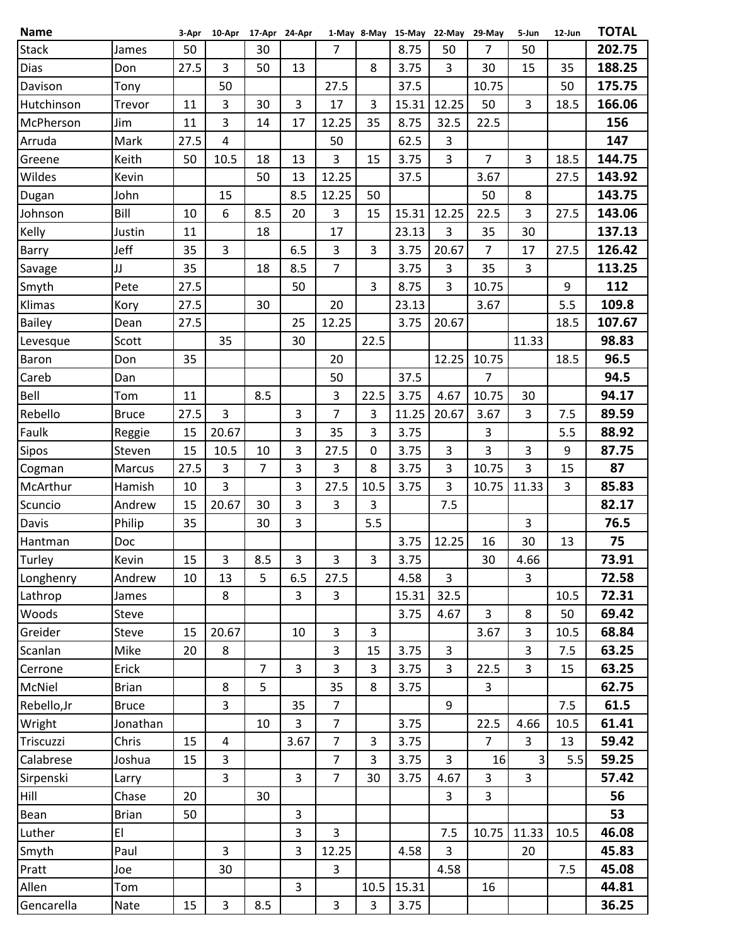| <b>Name</b>   |              | 3-Apr | 10-Apr 17-Apr 24-Apr |                |                |                |                | 1-May 8-May 15-May 22-May 29-May |                |                | 5-Jun          | 12-Jun         | <b>TOTAL</b> |
|---------------|--------------|-------|----------------------|----------------|----------------|----------------|----------------|----------------------------------|----------------|----------------|----------------|----------------|--------------|
| <b>Stack</b>  | James        | 50    |                      | 30             |                | 7              |                | 8.75                             | 50             | 7              | 50             |                | 202.75       |
| <b>Dias</b>   | Don          | 27.5  | 3                    | 50             | 13             |                | 8              | 3.75                             | 3              | 30             | 15             | 35             | 188.25       |
| Davison       | Tony         |       | 50                   |                |                | 27.5           |                | 37.5                             |                | 10.75          |                | 50             | 175.75       |
| Hutchinson    | Trevor       | 11    | 3                    | 30             | 3              | 17             | 3              | 15.31                            | 12.25          | 50             | $\overline{3}$ | 18.5           | 166.06       |
| McPherson     | Jim          | 11    | 3                    | 14             | 17             | 12.25          | 35             | 8.75                             | 32.5           | 22.5           |                |                | 156          |
| Arruda        | Mark         | 27.5  | $\overline{4}$       |                |                | 50             |                | 62.5                             | 3              |                |                |                | 147          |
| Greene        | Keith        | 50    | 10.5                 | 18             | 13             | $\overline{3}$ | 15             | 3.75                             | 3              | $\overline{7}$ | $\overline{3}$ | 18.5           | 144.75       |
| Wildes        | Kevin        |       |                      | 50             | 13             | 12.25          |                | 37.5                             |                | 3.67           |                | 27.5           | 143.92       |
| Dugan         | John         |       | 15                   |                | 8.5            | 12.25          | 50             |                                  |                | 50             | 8              |                | 143.75       |
| Johnson       | Bill         | 10    | 6                    | 8.5            | 20             | 3              | 15             | 15.31                            | 12.25          | 22.5           | 3              | 27.5           | 143.06       |
| Kelly         | Justin       | 11    |                      | 18             |                | 17             |                | 23.13                            | $\overline{3}$ | 35             | 30             |                | 137.13       |
| Barry         | Jeff         | 35    | 3                    |                | 6.5            | $\overline{3}$ | $\overline{3}$ | 3.75                             | 20.67          | $\overline{7}$ | 17             | 27.5           | 126.42       |
| Savage        | JJ           | 35    |                      | 18             | 8.5            | $\overline{7}$ |                | 3.75                             | 3              | 35             | 3              |                | 113.25       |
| Smyth         | Pete         | 27.5  |                      |                | 50             |                | 3              | 8.75                             | 3              | 10.75          |                | 9              | 112          |
| Klimas        | Kory         | 27.5  |                      | 30             |                | 20             |                | 23.13                            |                | 3.67           |                | 5.5            | 109.8        |
| <b>Bailey</b> | Dean         | 27.5  |                      |                | 25             | 12.25          |                | 3.75                             | 20.67          |                |                | 18.5           | 107.67       |
| Levesque      | Scott        |       | 35                   |                | 30             |                | 22.5           |                                  |                |                | 11.33          |                | 98.83        |
| Baron         | Don          | 35    |                      |                |                | 20             |                |                                  | 12.25          | 10.75          |                | 18.5           | 96.5         |
| Careb         | Dan          |       |                      |                |                | 50             |                | 37.5                             |                | $\overline{7}$ |                |                | 94.5         |
| Bell          | Tom          | 11    |                      | 8.5            |                | 3              | 22.5           | 3.75                             | 4.67           | 10.75          | 30             |                | 94.17        |
| Rebello       | <b>Bruce</b> | 27.5  | 3                    |                | 3              | 7              | 3              | 11.25                            | 20.67          | 3.67           | 3              | 7.5            | 89.59        |
| Faulk         | Reggie       | 15    | 20.67                |                | $\overline{3}$ | 35             | $\overline{3}$ | 3.75                             |                | 3              |                | 5.5            | 88.92        |
| Sipos         | Steven       | 15    | 10.5                 | 10             | $\overline{3}$ | 27.5           | 0              | 3.75                             | 3              | 3              | 3              | 9              | 87.75        |
| Cogman        | Marcus       | 27.5  | $\overline{3}$       | $\overline{7}$ | $\overline{3}$ | $\overline{3}$ | 8              | 3.75                             | 3              | 10.75          | 3              | 15             | 87           |
| McArthur      | Hamish       | 10    | 3                    |                | $\overline{3}$ | 27.5           | 10.5           | 3.75                             | 3              | 10.75          | 11.33          | $\overline{3}$ | 85.83        |
| Scuncio       | Andrew       | 15    | 20.67                | 30             | $\overline{3}$ | 3              | $\overline{3}$ |                                  | 7.5            |                |                |                | 82.17        |
| Davis         | Philip       | 35    |                      | 30             | 3              |                | 5.5            |                                  |                |                | 3              |                | 76.5         |
| Hantman       | <b>Doc</b>   |       |                      |                |                |                |                | 3.75                             | 12.25          | 16             | 30             | 13             | 75           |
| <b>Turley</b> | Kevin        | 15    | 3                    | 8.5            | 3              | 3              | 3              | 3.75                             |                | 30             | 4.66           |                | 73.91        |
| Longhenry     | Andrew       | 10    | 13                   | 5              | 6.5            | 27.5           |                | 4.58                             | $\overline{3}$ |                | $\overline{3}$ |                | 72.58        |
| Lathrop       | James        |       | 8                    |                | $\mathbf{3}$   | $\mathbf{3}$   |                | 15.31                            | 32.5           |                |                | 10.5           | 72.31        |
| Woods         | Steve        |       |                      |                |                |                |                | 3.75                             | 4.67           | $\overline{3}$ | 8              | 50             | 69.42        |
| Greider       | Steve        | 15    | 20.67                |                | 10             | $\overline{3}$ | $\overline{3}$ |                                  |                | 3.67           | 3              | 10.5           | 68.84        |
| Scanlan       | Mike         | 20    | 8                    |                |                | 3              | 15             | 3.75                             | 3              |                | 3              | 7.5            | 63.25        |
| Cerrone       | Erick        |       |                      | $\overline{7}$ | $\mathbf{3}$   | $\overline{3}$ | $\overline{3}$ | 3.75                             | 3              | 22.5           | $\overline{3}$ | 15             | 63.25        |
| McNiel        | <b>Brian</b> |       | 8                    | 5              |                | 35             | 8              | 3.75                             |                | $\mathsf{3}$   |                |                | 62.75        |
| Rebello, Jr   | <b>Bruce</b> |       | $\overline{3}$       |                | 35             | $\overline{7}$ |                |                                  | 9              |                |                | 7.5            | 61.5         |
| Wright        | Jonathan     |       |                      | 10             | 3              | $\overline{7}$ |                | 3.75                             |                | 22.5           | 4.66           | 10.5           | 61.41        |
| Triscuzzi     | Chris        | 15    | 4                    |                | 3.67           | $\overline{7}$ | $\overline{3}$ | 3.75                             |                | $\overline{7}$ | $\overline{3}$ | 13             | 59.42        |
| Calabrese     | Joshua       | 15    | 3                    |                |                | $\overline{7}$ | 3              | 3.75                             | 3              | 16             | 3              | 5.5            | 59.25        |
| Sirpenski     | Larry        |       | 3                    |                | 3              | $\overline{7}$ | 30             | 3.75                             | 4.67           | $\overline{3}$ | $\overline{3}$ |                | 57.42        |
| <b>Hill</b>   | Chase        | 20    |                      | 30             |                |                |                |                                  | 3              | $\mathsf{3}$   |                |                | 56           |
| Bean          | <b>Brian</b> | 50    |                      |                | $\overline{3}$ |                |                |                                  |                |                |                |                | 53           |
| Luther        | EI           |       |                      |                | $\mathbf{3}$   | $\overline{3}$ |                |                                  | 7.5            | 10.75          | 11.33          | 10.5           | 46.08        |
| Smyth         | Paul         |       | $\overline{3}$       |                | $\overline{3}$ | 12.25          |                | 4.58                             | 3              |                | 20             |                | 45.83        |
| Pratt         | Joe          |       | 30                   |                |                | $\overline{3}$ |                |                                  | 4.58           |                |                | 7.5            | 45.08        |
| Allen         | Tom          |       |                      |                | $\overline{3}$ |                | 10.5           | 15.31                            |                | 16             |                |                | 44.81        |
|               |              |       |                      |                |                |                |                |                                  |                |                |                |                |              |
| Gencarella    | Nate         | 15    | 3                    | 8.5            |                | $\mathbf{3}$   | $\mathbf{3}$   | 3.75                             |                |                |                |                | 36.25        |